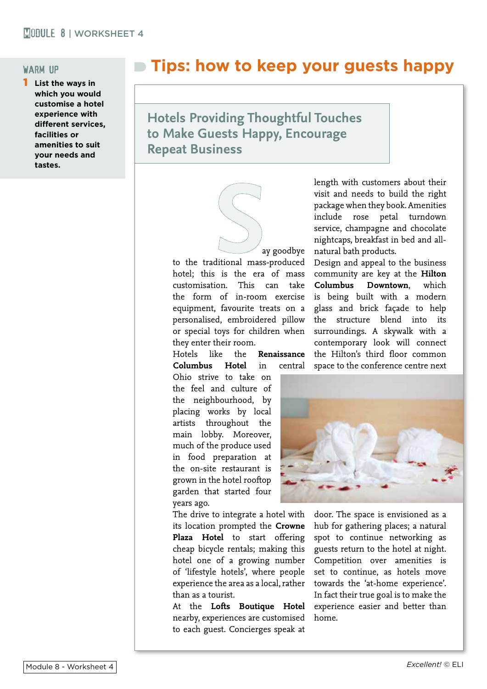### warm up

**List the ways in which you would customise a hotel experience with different services, facilities or amenities to suit your needs and tastes.**

# **Tips: how to keep your guests happy**

**Hotels Providing Thoughtful Touches to Make Guests Happy, Encourage Repeat Business**

> ay goodbye to the traditional mass-produced hotel; this is the era of mass customisation. This can take the form of in-room exercise equipment, favourite treats on a personalised, embroidered pillow or special toys for children when they enter their room.

Hotels like the **Renaissance Columbus Hotel** in central

Ohio strive to take on the feel and culture of the neighbourhood, by placing works by local artists throughout the main lobby. Moreover, much of the produce used in food preparation at the on-site restaurant is grown in the hotel rooftop garden that started four years ago.

The drive to integrate a hotel with its location prompted the **Crowne Plaza Hotel** to start offering cheap bicycle rentals; making this hotel one of a growing number of 'lifestyle hotels', where people experience the area as a local, rather than as a tourist.

At the **Lofts Boutique Hotel** nearby, experiences are customised to each guest. Concierges speak at

length with customers about their visit and needs to build the right package when they book. Amenities include rose petal turndown service, champagne and chocolate nightcaps, breakfast in bed and allnatural bath products.

Design and appeal to the business community are key at the **Hilton Columbus Downtown**, which is being built with a modern glass and brick façade to help the structure blend into its surroundings. A skywalk with a contemporary look will connect the Hilton's third floor common space to the conference centre next



door. The space is envisioned as a hub for gathering places; a natural spot to continue networking as guests return to the hotel at night. Competition over amenities is set to continue, as hotels move towards the 'at-home experience'. In fact their true goal is to make the experience easier and better than home.